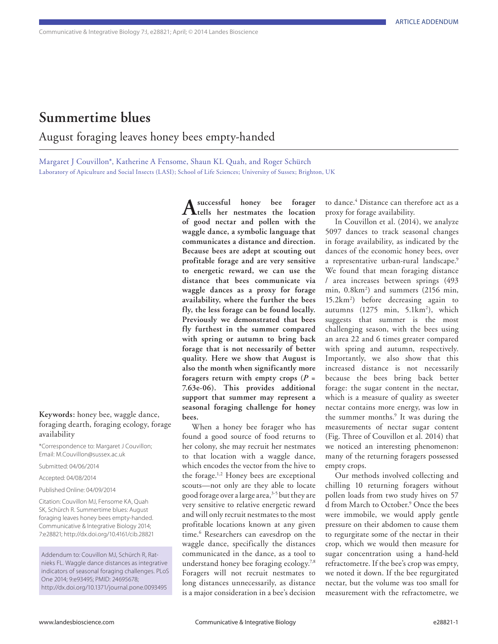## **Summertime blues**

August foraging leaves honey bees empty-handed

Margaret J Couvillon\*, Katherine A Fensome, Shaun KL Quah, and Roger Schürch Laboratory of Apiculture and Social Insects (LASI); School of Life Sciences; University of Sussex; Brighton, UK

**Keywords:** honey bee, waggle dance, foraging dearth, foraging ecology, forage availability

\*Correspondence to: Margaret J Couvillon; Email: M.Couvillon@sussex.ac.uk

Submitted: 04/06/2014

Accepted: 04/08/2014

Published Online: 04/09/2014

Citation: Couvillon MJ, Fensome KA, Quah SK, Schürch R. Summertime blues: August foraging leaves honey bees empty-handed. Communicative & Integrative Biology 2014; 7:e28821; http://dx.doi.org/10.4161/cib.28821

Addendum to: Couvillon MJ, Schürch R, Ratnieks FL. Waggle dance distances as integrative indicators of seasonal foraging challenges. PLoS One 2014; 9:e93495; PMID: 24695678; http://dx.doi.org/10.1371/journal.pone.0093495

**A successful honey bee forager tells her nestmates the location of good nectar and pollen with the waggle dance, a symbolic language that communicates a distance and direction. Because bees are adept at scouting out profitable forage and are very sensitive to energetic reward, we can use the distance that bees communicate via waggle dances as a proxy for forage availability, where the further the bees fly, the less forage can be found locally. Previously we demonstrated that bees fly furthest in the summer compared with spring or autumn to bring back forage that is not necessarily of better quality. Here we show that August is also the month when significantly more foragers return with empty crops (***P* **= 7.63e-06). This provides additional support that summer may represent a seasonal foraging challenge for honey bees.**

When a honey bee forager who has found a good source of food returns to her colony, she may recruit her nestmates to that location with a waggle dance, which encodes the vector from the hive to the forage.<sup>1,2</sup> Honey bees are exceptional scouts—not only are they able to locate good forage over a large area,<sup>3-5</sup> but they are very sensitive to relative energetic reward and will only recruit nestmates to the most profitable locations known at any given time.<sup>6</sup> Researchers can eavesdrop on the waggle dance, specifically the distances communicated in the dance, as a tool to understand honey bee foraging ecology.7,8 Foragers will not recruit nestmates to long distances unnecessarily, as distance is a major consideration in a bee's decision

to dance.4 Distance can therefore act as a proxy for forage availability.

In Couvillon et al. (2014), we analyze 5097 dances to track seasonal changes in forage availability, as indicated by the dances of the economic honey bees, over a representative urban-rural landscape.<sup>9</sup> We found that mean foraging distance / area increases between springs (493 min, 0.8km2 ) and summers (2156 min, 15.2km2 ) before decreasing again to autumns (1275 min, 5.1km<sup>2</sup>), which suggests that summer is the most challenging season, with the bees using an area 22 and 6 times greater compared with spring and autumn, respectively. Importantly, we also show that this increased distance is not necessarily because the bees bring back better forage: the sugar content in the nectar, which is a measure of quality as sweeter nectar contains more energy, was low in the summer months.<sup>9</sup> It was during the measurements of nectar sugar content (Fig. Three of Couvillon et al. 2014) that we noticed an interesting phenomenon: many of the returning foragers possessed empty crops.

Our methods involved collecting and chilling 10 returning foragers without pollen loads from two study hives on 57 d from March to October.9 Once the bees were immobile, we would apply gentle pressure on their abdomen to cause them to regurgitate some of the nectar in their crop, which we would then measure for sugar concentration using a hand-held refractometre. If the bee's crop was empty, we noted it down. If the bee regurgitated nectar, but the volume was too small for measurement with the refractometre, we